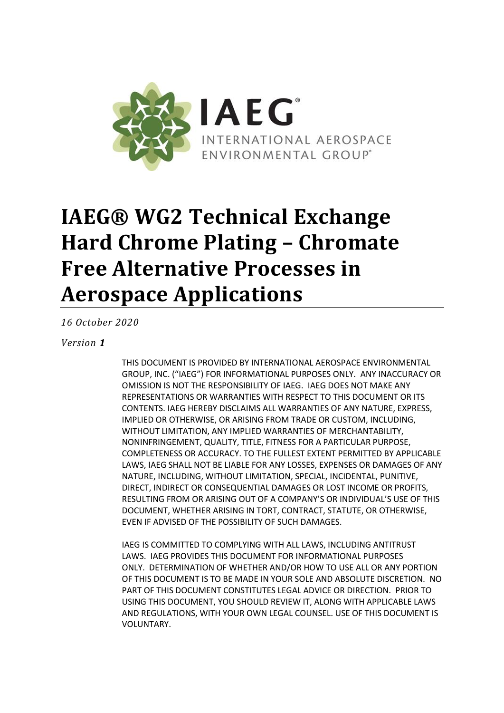

*16 October 2020*

#### *Version 1*

THIS DOCUMENT IS PROVIDED BY INTERNATIONAL AEROSPACE ENVIRONMENTAL GROUP, INC. ("IAEG") FOR INFORMATIONAL PURPOSES ONLY. ANY INACCURACY OR OMISSION IS NOT THE RESPONSIBILITY OF IAEG. IAEG DOES NOT MAKE ANY REPRESENTATIONS OR WARRANTIES WITH RESPECT TO THIS DOCUMENT OR ITS CONTENTS. IAEG HEREBY DISCLAIMS ALL WARRANTIES OF ANY NATURE, EXPRESS, IMPLIED OR OTHERWISE, OR ARISING FROM TRADE OR CUSTOM, INCLUDING, WITHOUT LIMITATION, ANY IMPLIED WARRANTIES OF MERCHANTABILITY, NONINFRINGEMENT, QUALITY, TITLE, FITNESS FOR A PARTICULAR PURPOSE, COMPLETENESS OR ACCURACY. TO THE FULLEST EXTENT PERMITTED BY APPLICABLE LAWS, IAEG SHALL NOT BE LIABLE FOR ANY LOSSES, EXPENSES OR DAMAGES OF ANY NATURE, INCLUDING, WITHOUT LIMITATION, SPECIAL, INCIDENTAL, PUNITIVE, DIRECT, INDIRECT OR CONSEQUENTIAL DAMAGES OR LOST INCOME OR PROFITS, RESULTING FROM OR ARISING OUT OF A COMPANY'S OR INDIVIDUAL'S USE OF THIS DOCUMENT, WHETHER ARISING IN TORT, CONTRACT, STATUTE, OR OTHERWISE, EVEN IF ADVISED OF THE POSSIBILITY OF SUCH DAMAGES.

IAEG IS COMMITTED TO COMPLYING WITH ALL LAWS, INCLUDING ANTITRUST LAWS. IAEG PROVIDES THIS DOCUMENT FOR INFORMATIONAL PURPOSES ONLY. DETERMINATION OF WHETHER AND/OR HOW TO USE ALL OR ANY PORTION OF THIS DOCUMENT IS TO BE MADE IN YOUR SOLE AND ABSOLUTE DISCRETION. NO PART OF THIS DOCUMENT CONSTITUTES LEGAL ADVICE OR DIRECTION. PRIOR TO USING THIS DOCUMENT, YOU SHOULD REVIEW IT, ALONG WITH APPLICABLE LAWS AND REGULATIONS, WITH YOUR OWN LEGAL COUNSEL. USE OF THIS DOCUMENT IS VOLUNTARY.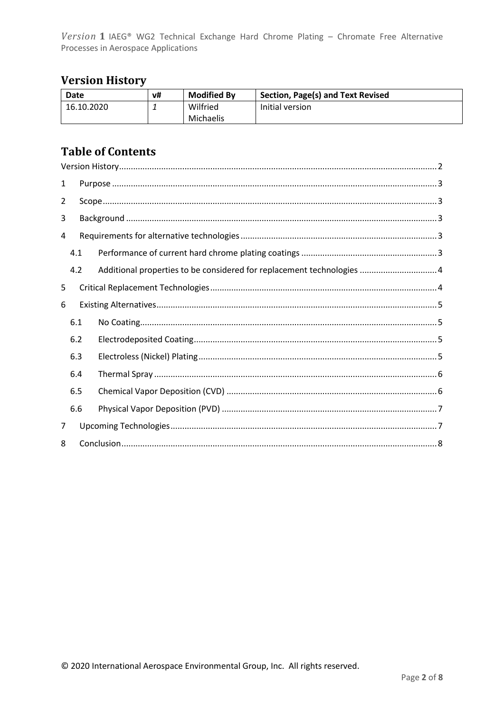# <span id="page-1-0"></span>**Version History**

| Date       | v# | <b>Modified By</b> | Section, Page(s) and Text Revised |
|------------|----|--------------------|-----------------------------------|
| 16.10.2020 |    | Wilfried           | Initial version                   |
|            |    | Michaelis          |                                   |

## **Table of Contents**

| 1 |     |                                                                        |  |  |  |
|---|-----|------------------------------------------------------------------------|--|--|--|
| 2 |     |                                                                        |  |  |  |
| 3 |     |                                                                        |  |  |  |
| 4 |     |                                                                        |  |  |  |
|   | 4.1 |                                                                        |  |  |  |
|   | 4.2 | Additional properties to be considered for replacement technologies  4 |  |  |  |
| 5 |     |                                                                        |  |  |  |
| 6 |     |                                                                        |  |  |  |
|   | 6.1 |                                                                        |  |  |  |
|   | 6.2 |                                                                        |  |  |  |
|   | 6.3 |                                                                        |  |  |  |
|   | 6.4 |                                                                        |  |  |  |
|   | 6.5 |                                                                        |  |  |  |
|   | 6.6 |                                                                        |  |  |  |
| 7 |     |                                                                        |  |  |  |
| 8 |     |                                                                        |  |  |  |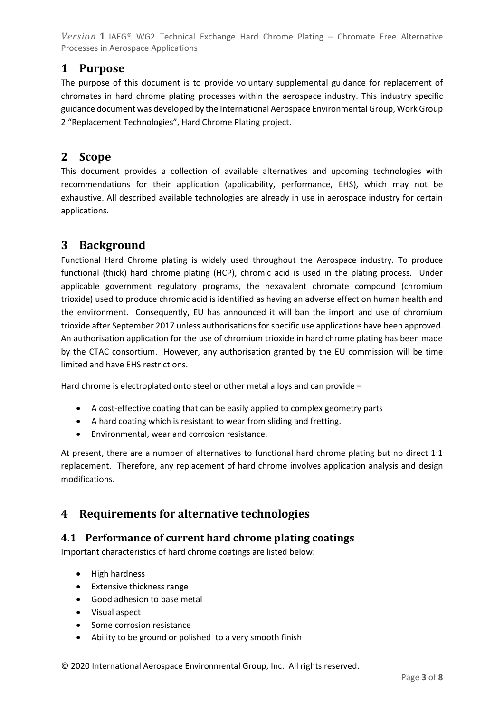## <span id="page-2-0"></span>**1 Purpose**

The purpose of this document is to provide voluntary supplemental guidance for replacement of chromates in hard chrome plating processes within the aerospace industry. This industry specific guidance document was developed by the International Aerospace Environmental Group, Work Group 2 "Replacement Technologies", Hard Chrome Plating project.

### <span id="page-2-1"></span>**2 Scope**

This document provides a collection of available alternatives and upcoming technologies with recommendations for their application (applicability, performance, EHS), which may not be exhaustive. All described available technologies are already in use in aerospace industry for certain applications.

## <span id="page-2-2"></span>**3 Background**

Functional Hard Chrome plating is widely used throughout the Aerospace industry. To produce functional (thick) hard chrome plating (HCP), chromic acid is used in the plating process. Under applicable government regulatory programs, the hexavalent chromate compound (chromium trioxide) used to produce chromic acid is identified as having an adverse effect on human health and the environment. Consequently, EU has announced it will ban the import and use of chromium trioxide after September 2017 unless authorisations for specific use applications have been approved. An authorisation application for the use of chromium trioxide in hard chrome plating has been made by the CTAC consortium. However, any authorisation granted by the EU commission will be time limited and have EHS restrictions.

Hard chrome is electroplated onto steel or other metal alloys and can provide –

- A cost-effective coating that can be easily applied to complex geometry parts
- A hard coating which is resistant to wear from sliding and fretting.
- Environmental, wear and corrosion resistance.

At present, there are a number of alternatives to functional hard chrome plating but no direct 1:1 replacement. Therefore, any replacement of hard chrome involves application analysis and design modifications.

## <span id="page-2-3"></span>**4 Requirements for alternative technologies**

#### <span id="page-2-4"></span>**4.1 Performance of current hard chrome plating coatings**

Important characteristics of hard chrome coatings are listed below:

- High hardness
- Extensive thickness range
- Good adhesion to base metal
- Visual aspect
- Some corrosion resistance
- Ability to be ground or polished to a very smooth finish

© 2020 International Aerospace Environmental Group, Inc. All rights reserved.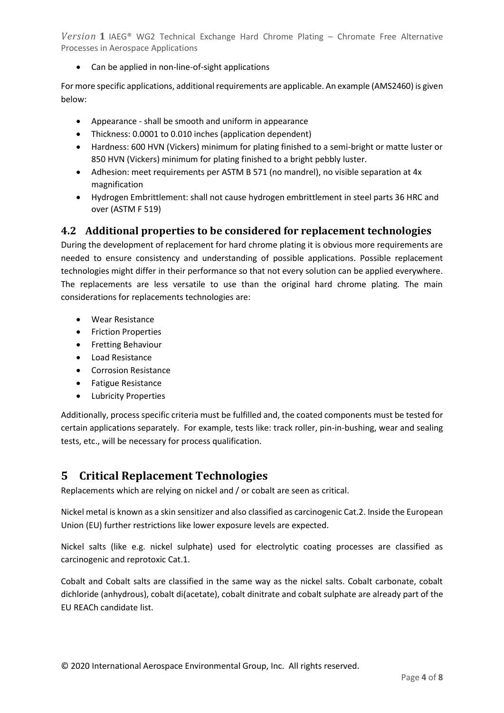• Can be applied in non-line-of-sight applications

For more specific applications, additional requirements are applicable. An example (AMS2460) is given below:

- Appearance shall be smooth and uniform in appearance
- Thickness: 0.0001 to 0.010 inches (application dependent)
- Hardness: 600 HVN (Vickers) minimum for plating finished to a semi-bright or matte luster or 850 HVN (Vickers) minimum for plating finished to a bright pebbly luster.
- Adhesion: meet requirements per ASTM B 571 (no mandrel), no visible separation at 4x magnification
- Hydrogen Embrittlement: shall not cause hydrogen embrittlement in steel parts 36 HRC and over (ASTM F 519)

#### <span id="page-3-0"></span>**4.2 Additional properties to be considered for replacement technologies**

During the development of replacement for hard chrome plating it is obvious more requirements are needed to ensure consistency and understanding of possible applications. Possible replacement technologies might differ in their performance so that not every solution can be applied everywhere. The replacements are less versatile to use than the original hard chrome plating. The main considerations for replacements technologies are:

- Wear Resistance
- Friction Properties
- Fretting Behaviour
- Load Resistance
- Corrosion Resistance
- Fatigue Resistance
- Lubricity Properties

Additionally, process specific criteria must be fulfilled and, the coated components must be tested for certain applications separately. For example, tests like: track roller, pin-in-bushing, wear and sealing tests, etc., will be necessary for process qualification.

## <span id="page-3-1"></span>**5 Critical Replacement Technologies**

Replacements which are relying on nickel and / or cobalt are seen as critical.

Nickel metal is known as a skin sensitizer and also classified as carcinogenic Cat.2. Inside the European Union (EU) further restrictions like lower exposure levels are expected.

Nickel salts (like e.g. nickel sulphate) used for electrolytic coating processes are classified as carcinogenic and reprotoxic Cat.1.

Cobalt and Cobalt salts are classified in the same way as the nickel salts. Cobalt carbonate, cobalt dichloride (anhydrous), cobalt di(acetate), cobalt dinitrate and cobalt sulphate are already part of the EU REACh candidate list.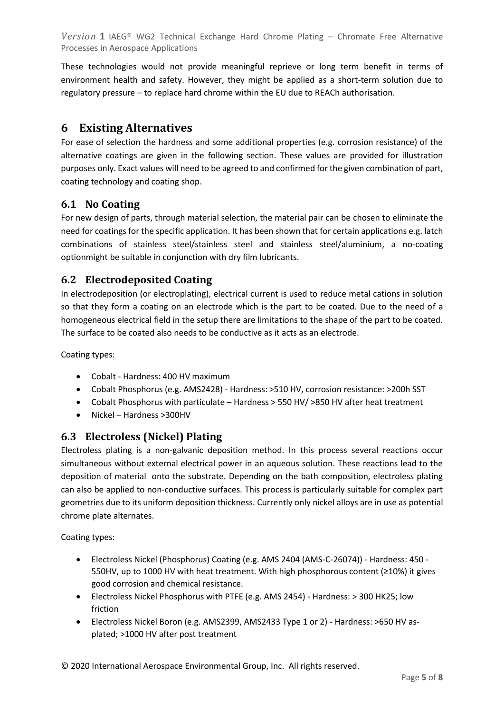These technologies would not provide meaningful reprieve or long term benefit in terms of environment health and safety. However, they might be applied as a short-term solution due to regulatory pressure – to replace hard chrome within the EU due to REACh authorisation.

## <span id="page-4-0"></span>**6 Existing Alternatives**

For ease of selection the hardness and some additional properties (e.g. corrosion resistance) of the alternative coatings are given in the following section. These values are provided for illustration purposes only. Exact values will need to be agreed to and confirmed for the given combination of part, coating technology and coating shop.

#### <span id="page-4-1"></span>**6.1 No Coating**

For new design of parts, through material selection, the material pair can be chosen to eliminate the need for coatings for the specific application. It has been shown that for certain applications e.g. latch combinations of stainless steel/stainless steel and stainless steel/aluminium, a no-coating optionmight be suitable in conjunction with dry film lubricants.

#### <span id="page-4-2"></span>**6.2 Electrodeposited Coating**

In electrodeposition (or electroplating), electrical current is used to reduce metal cations in solution so that they form a coating on an electrode which is the part to be coated. Due to the need of a homogeneous electrical field in the setup there are limitations to the shape of the part to be coated. The surface to be coated also needs to be conductive as it acts as an electrode.

Coating types:

- Cobalt Hardness: 400 HV maximum
- Cobalt Phosphorus (e.g. AMS2428) Hardness: >510 HV, corrosion resistance: >200h SST
- Cobalt Phosphorus with particulate Hardness > 550 HV/ >850 HV after heat treatment
- Nickel Hardness >300HV

#### <span id="page-4-3"></span>**6.3 Electroless (Nickel) Plating**

Electroless plating is a non-galvanic deposition method. In this process several reactions occur simultaneous without external electrical power in an aqueous solution. These reactions lead to the deposition of material onto the substrate. Depending on the bath composition, electroless plating can also be applied to non-conductive surfaces. This process is particularly suitable for complex part geometries due to its uniform deposition thickness. Currently only nickel alloys are in use as potential chrome plate alternates.

Coating types:

- Electroless Nickel (Phosphorus) Coating (e.g. AMS 2404 (AMS-C-26074)) Hardness: 450 550HV, up to 1000 HV with heat treatment. With high phosphorous content (≥10%) it gives good corrosion and chemical resistance.
- Electroless Nickel Phosphorus with PTFE (e.g. AMS 2454) Hardness: > 300 HK25; low friction
- Electroless Nickel Boron (e.g. AMS2399, AMS2433 Type 1 or 2) Hardness: >650 HV asplated; >1000 HV after post treatment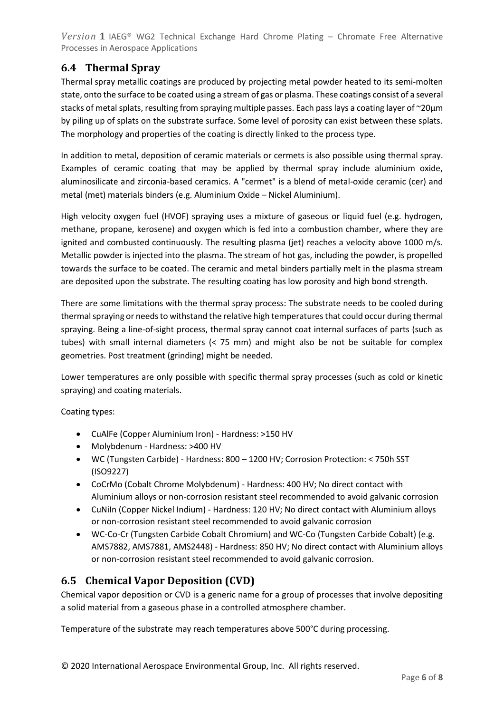## <span id="page-5-0"></span>**6.4 Thermal Spray**

Thermal spray metallic coatings are produced by projecting metal powder heated to its semi-molten state, onto the surface to be coated using a stream of gas or plasma. These coatings consist of a several stacks of metal splats, resulting from spraying multiple passes. Each pass lays a coating layer of ~20μm by piling up of splats on the substrate surface. Some level of porosity can exist between these splats. The morphology and properties of the coating is directly linked to the process type.

In addition to metal, deposition of ceramic materials or cermets is also possible using thermal spray. Examples of ceramic coating that may be applied by thermal spray include aluminium oxide, aluminosilicate and zirconia-based ceramics. A "cermet" is a blend of metal-oxide ceramic (cer) and metal (met) materials binders (e.g. Aluminium Oxide – Nickel Aluminium).

High velocity oxygen fuel (HVOF) spraying uses a mixture of gaseous or liquid fuel (e.g. hydrogen, methane, propane, kerosene) and oxygen which is fed into a combustion chamber, where they are ignited and combusted continuously. The resulting plasma (jet) reaches a velocity above 1000 m/s. Metallic powder is injected into the plasma. The stream of hot gas, including the powder, is propelled towards the surface to be coated. The ceramic and metal binders partially melt in the plasma stream are deposited upon the substrate. The resulting coating has low porosity and high bond strength.

There are some limitations with the thermal spray process: The substrate needs to be cooled during thermal spraying or needs to withstand the relative high temperatures that could occur during thermal spraying. Being a line-of-sight process, thermal spray cannot coat internal surfaces of parts (such as tubes) with small internal diameters (< 75 mm) and might also be not be suitable for complex geometries. Post treatment (grinding) might be needed.

Lower temperatures are only possible with specific thermal spray processes (such as cold or kinetic spraying) and coating materials.

Coating types:

- CuAlFe (Copper Aluminium Iron) Hardness: >150 HV
- Molybdenum Hardness: >400 HV
- WC (Tungsten Carbide) Hardness: 800 1200 HV; Corrosion Protection: < 750h SST (ISO9227)
- CoCrMo (Cobalt Chrome Molybdenum) Hardness: 400 HV; No direct contact with Aluminium alloys or non-corrosion resistant steel recommended to avoid galvanic corrosion
- CuNiIn (Copper Nickel Indium) Hardness: 120 HV; No direct contact with Aluminium alloys or non-corrosion resistant steel recommended to avoid galvanic corrosion
- WC-Co-Cr (Tungsten Carbide Cobalt Chromium) and WC-Co (Tungsten Carbide Cobalt) (e.g. AMS7882, AMS7881, AMS2448) - Hardness: 850 HV; No direct contact with Aluminium alloys or non-corrosion resistant steel recommended to avoid galvanic corrosion.

#### <span id="page-5-1"></span>**6.5 Chemical Vapor Deposition (CVD)**

Chemical vapor deposition or CVD is a generic name for a group of processes that involve depositing a solid material from a gaseous phase in a controlled atmosphere chamber.

Temperature of the substrate may reach temperatures above 500°C during processing.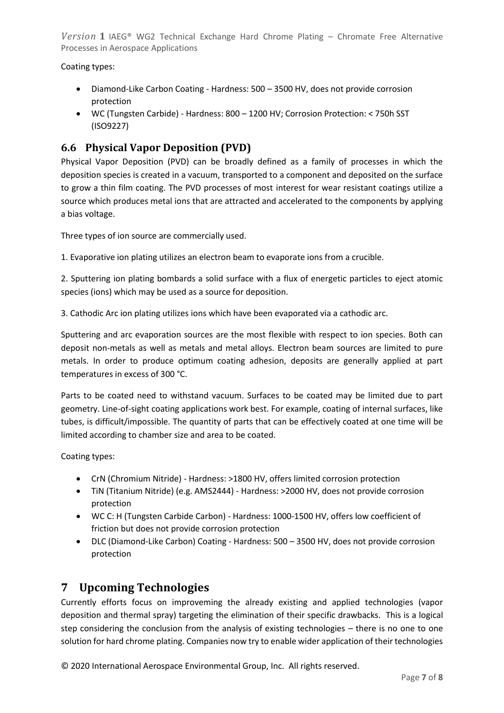Coating types:

- Diamond-Like Carbon Coating Hardness: 500 3500 HV, does not provide corrosion protection
- WC (Tungsten Carbide) Hardness: 800 1200 HV; Corrosion Protection: < 750h SST (ISO9227)

#### <span id="page-6-0"></span>**6.6 Physical Vapor Deposition (PVD)**

Physical Vapor Deposition (PVD) can be broadly defined as a family of processes in which the deposition species is created in a vacuum, transported to a component and deposited on the surface to grow a thin film coating. The PVD processes of most interest for wear resistant coatings utilize a source which produces metal ions that are attracted and accelerated to the components by applying a bias voltage.

Three types of ion source are commercially used.

1. Evaporative ion plating utilizes an electron beam to evaporate ions from a crucible.

2. Sputtering ion plating bombards a solid surface with a flux of energetic particles to eject atomic species (ions) which may be used as a source for deposition.

3. Cathodic Arc ion plating utilizes ions which have been evaporated via a cathodic arc.

Sputtering and arc evaporation sources are the most flexible with respect to ion species. Both can deposit non-metals as well as metals and metal alloys. Electron beam sources are limited to pure metals. In order to produce optimum coating adhesion, deposits are generally applied at part temperatures in excess of 300 °C.

Parts to be coated need to withstand vacuum. Surfaces to be coated may be limited due to part geometry. Line-of-sight coating applications work best. For example, coating of internal surfaces, like tubes, is difficult/impossible. The quantity of parts that can be effectively coated at one time will be limited according to chamber size and area to be coated.

Coating types:

- CrN (Chromium Nitride) Hardness: >1800 HV, offers limited corrosion protection
- TiN (Titanium Nitride) (e.g. AMS2444) Hardness: >2000 HV, does not provide corrosion protection
- WC C: H (Tungsten Carbide Carbon) Hardness: 1000-1500 HV, offers low coefficient of friction but does not provide corrosion protection
- DLC (Diamond-Like Carbon) Coating Hardness: 500 3500 HV, does not provide corrosion protection

## <span id="page-6-1"></span>**7 Upcoming Technologies**

Currently efforts focus on improveming the already existing and applied technologies (vapor deposition and thermal spray) targeting the elimination of their specific drawbacks. This is a logical step considering the conclusion from the analysis of existing technologies – there is no one to one solution for hard chrome plating. Companies now try to enable wider application of their technologies

© 2020 International Aerospace Environmental Group, Inc. All rights reserved.